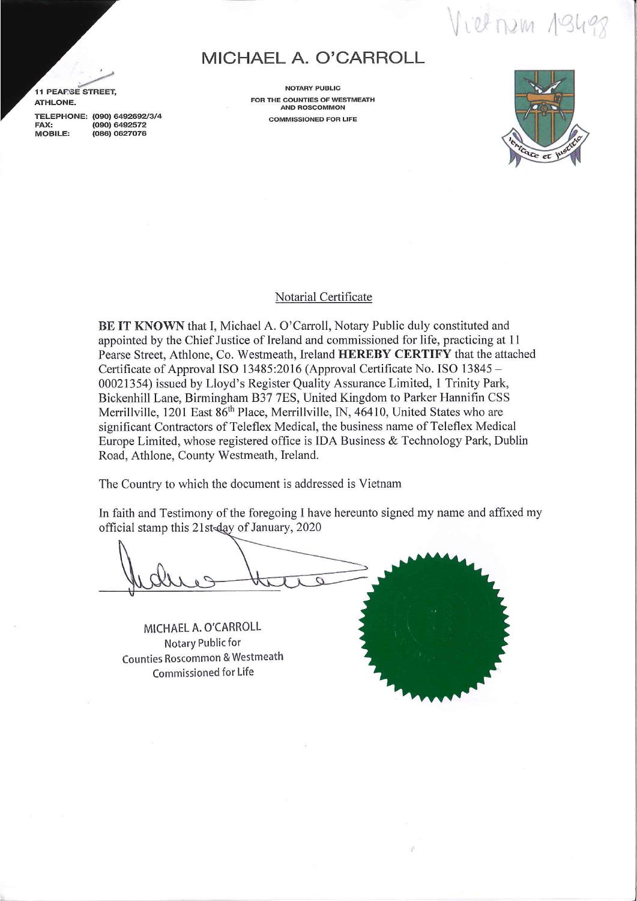Vietnem 19498

## **MICHAEL A. O'CARROLL**

*.>* 11 PEAP.SE STREET, ATHLONE.

TELEPHONE: (090) 6492692/3/4 FAX: (090) 6492572<br>MOBILE: (086) 0627076 (086) 0627076

NOTARY PUBLIC FOR THE COUNTIES OF WESTMEATH AND ROSCOMMON COMMISSIONED FOR LIFE



## Notarial Certificate

BE IT KNOWN that I, Michael A. O'Carroll, Notary Public duly constituted and appointed by the. Chief Justice of Ireland and commissioned for life, practicing at 11 Pearse Street, Athlone, Co. Westmeath, Ireland HEREBY CERTIFY that the attached Certificate of Approval ISO 13485:2016 (Approval Certificate No. ISO 13845- 00021354) issued by Lloyd's Register Quality Assurance Limited, 1 Trinity Park, Bickenhill Lane, Birmingham B37 7ES, United Kingdom to Parker Hannifin CSS Merrillville, 1201 East 86<sup>th</sup> Place, Merrillville, IN, 46410, United States who are significant Contractors of Teleflex Medical, the business name of Teleflex Medical Europe Limited, whose registered office is IDA Business & Technology Park, Dublin Road, Athlone, County Westmeath, Ireland.

The Country to which the document is addressed is Vietnam

In faith and Testimony of the foregoing I have hereunto signed my name and affixed my official stamp this 21st day of January, 2020

MICHAEL A. O'CARROLL Notary Public for Counties Roscommon & Westmeath Commissioned for Life

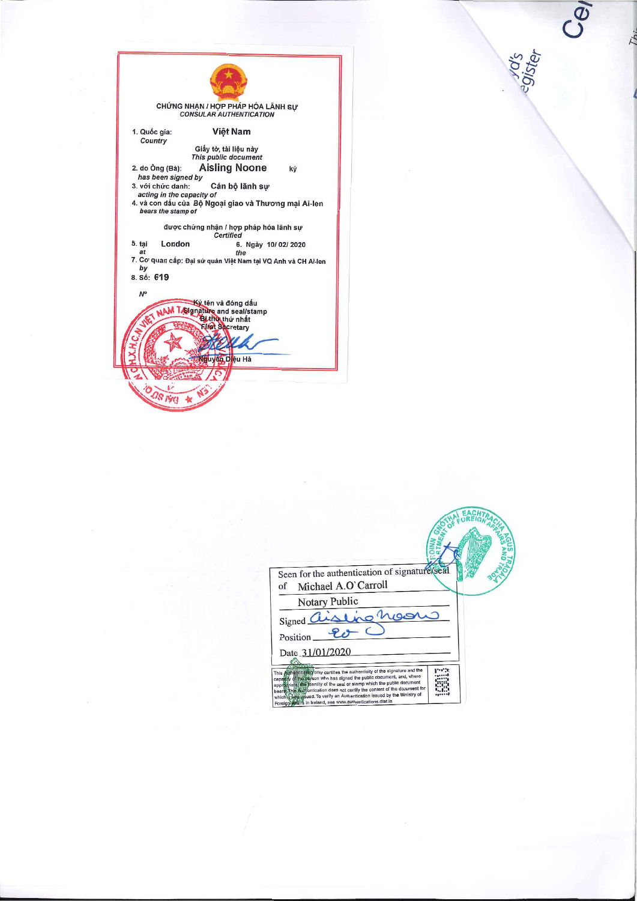|                                                | CHỨNG NHẠN / HỢP PHÁP HÓA LÃNH SƯ<br><b>CONSULAR AUTHENTICATION</b>                       |    |
|------------------------------------------------|-------------------------------------------------------------------------------------------|----|
| 1. Quốc gia:<br>Country                        | Việt Nam                                                                                  |    |
|                                                | Giấy tờ, tài liệu này<br>This public document                                             |    |
| 2. do Öng (Bà):<br>has been signed by          | <b>Aisling Noone</b>                                                                      | ký |
| 3. với chức danh:<br>acting in the capacity of | Cán bộ lãnh sư                                                                            |    |
| bears the stamp of                             | 4. và con dấu của Bộ Ngoại giao và Thương mại Ai-len                                      |    |
|                                                | được chứng nhận / hợp pháp hóa lãnh sư<br>Certified                                       |    |
| London<br>5. tai<br>at<br>bv<br>8. Số: 619     | 6. Ngày 10/02/2020<br>the<br>7. Cơ quan cấp: Đại sứ quán Việt Nam tại VQ Anh và CH Ai-len |    |
| $N^{\circ}$                                    |                                                                                           |    |
|                                                |                                                                                           |    |
|                                                | NAM Traignature and seal/stamp<br><b>First Secretary</b>                                  |    |
|                                                | duyên Diêu Hà                                                                             |    |
|                                                |                                                                                           |    |
| <b>DOS IVE</b>                                 |                                                                                           |    |
|                                                |                                                                                           |    |

| Seen for the authentication of signature/seal<br>Michael A.O'Carroll<br>of                                                                                                                                                                                                                                                                                                                                                                        |  |  |
|---------------------------------------------------------------------------------------------------------------------------------------------------------------------------------------------------------------------------------------------------------------------------------------------------------------------------------------------------------------------------------------------------------------------------------------------------|--|--|
| Notary Public<br>Signed aisling he<br>Position<br>Date 31/01/2020                                                                                                                                                                                                                                                                                                                                                                                 |  |  |
| This Authenting for only certifies the authenticity of the signature and the<br>capagity of the objson who has signed the public document, and, where<br>approgriate the dentity of the seal or stamp which the public document<br>This Authentication does not certify the content of the document for<br>which it Washasued. To verify an Authentication issued by the Ministry of<br>Foreign waits in Ireland, see www.authentications.dfat.ie |  |  |

 $\label{eq:zeta} \mathbf{x} = \frac{\mathbf{x}^2}{\mathbf{x}^2} + \frac{\mathbf{x}^2}{\mathbf{x}^2} + \frac{\mathbf{x}^2}{\mathbf{x}^2} + \frac{\mathbf{x}^2}{\mathbf{x}^2} + \frac{\mathbf{x}^2}{\mathbf{x}^2} + \frac{\mathbf{x}^2}{\mathbf{x}^2} + \frac{\mathbf{x}^2}{\mathbf{x}^2} + \frac{\mathbf{x}^2}{\mathbf{x}^2} + \frac{\mathbf{x}^2}{\mathbf{x}^2} + \frac{\mathbf{x}^2}{\mathbf{x}^2} + \frac{\mathbf{x}^2}{\mathbf{x}^$ 

yd's<br>9ister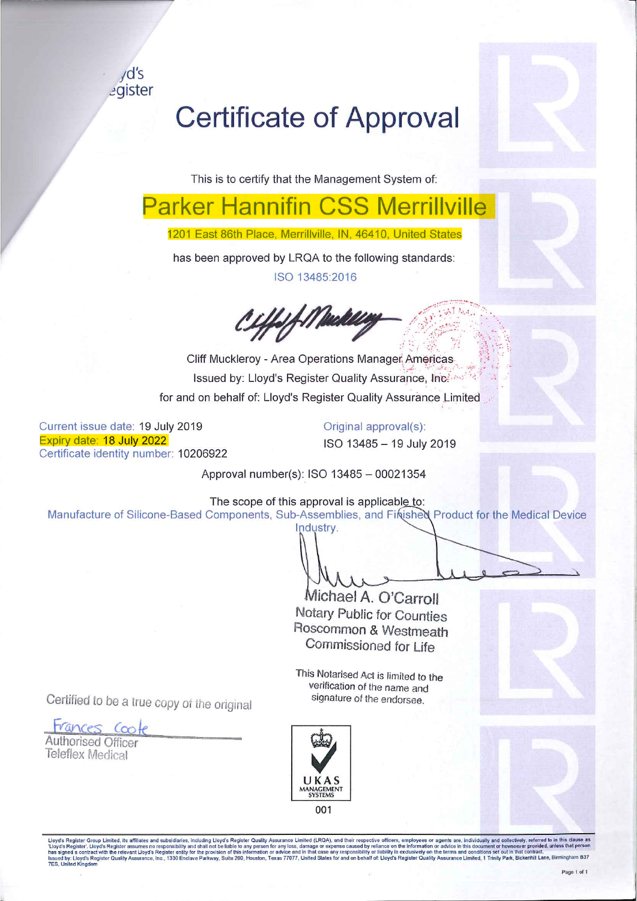$\sqrt{d}$ 's cgister

## **Certificate of Approval**

This is to certify that the Management System of:

has been approved by LRQA to the following standards: ISO 13485:2016 1201 East 86th Place, Merrillville, IN, 46410, United States **Parker Hannifin CSS Merrillville** 

*b~ ..* :<:~r.:\_.:,::\_:·.'.~:·;'.?'> -. *~p . :';·:,\_\·~-~-.\· ...* 

for and on behalf of: Lloyd's Register Quality Assurance Limited Cliff Muckleroy - Area Operations Manager Americas ~,,t; ..• \_.- - .. 1.:· .~ -. , ·.=•.:~- .~ *t: f ...* Issued by: Lloyd's Register Quality Assurance, Inc. . .. . ..

Current issue date: 19 July 2019 Expiry date: 18 July 2022 Certificate identity number: 10206922 Original approval(s): ISO 13485 - 19 July 2019

Approval number(s): ISO 13485 - 00021354

The scope of this approval is applicable to:

Manufacture of Silicone-Based Components, Sub-Assemblies, and Finished Product for the Medical Device Industry.

Michael A. O'Carroll Notary Public for Counties Roscommon & Westmeath

This Notarised Act is limited to the verification of the name and Commissioned *tor* Life

signature *of* the endorsee. Certified to be a true copy *at* tne original

Frunees *Ccok* 

Authorised Officer Teleflex Medical



Lloyd's Register Group Limited, its affiliates and subsidiaries, including Lloyd's Register Quality Assurance Limited (LRQA), and their respective officers, employees or agents are, individually and collectively, referred